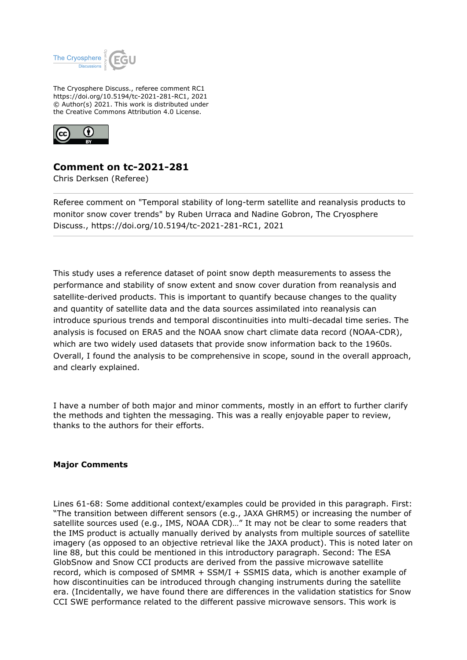

The Cryosphere Discuss., referee comment RC1 https://doi.org/10.5194/tc-2021-281-RC1, 2021 © Author(s) 2021. This work is distributed under the Creative Commons Attribution 4.0 License.



## **Comment on tc-2021-281**

Chris Derksen (Referee)

Referee comment on "Temporal stability of long-term satellite and reanalysis products to monitor snow cover trends" by Ruben Urraca and Nadine Gobron, The Cryosphere Discuss., https://doi.org/10.5194/tc-2021-281-RC1, 2021

This study uses a reference dataset of point snow depth measurements to assess the performance and stability of snow extent and snow cover duration from reanalysis and satellite-derived products. This is important to quantify because changes to the quality and quantity of satellite data and the data sources assimilated into reanalysis can introduce spurious trends and temporal discontinuities into multi-decadal time series. The analysis is focused on ERA5 and the NOAA snow chart climate data record (NOAA-CDR), which are two widely used datasets that provide snow information back to the 1960s. Overall, I found the analysis to be comprehensive in scope, sound in the overall approach, and clearly explained.

I have a number of both major and minor comments, mostly in an effort to further clarify the methods and tighten the messaging. This was a really enjoyable paper to review, thanks to the authors for their efforts.

## **Major Comments**

Lines 61-68: Some additional context/examples could be provided in this paragraph. First: "The transition between different sensors (e.g., JAXA GHRM5) or increasing the number of satellite sources used (e.g., IMS, NOAA CDR)..." It may not be clear to some readers that the IMS product is actually manually derived by analysts from multiple sources of satellite imagery (as opposed to an objective retrieval like the JAXA product). This is noted later on line 88, but this could be mentioned in this introductory paragraph. Second: The ESA GlobSnow and Snow CCI products are derived from the passive microwave satellite record, which is composed of SMMR + SSM/I + SSMIS data, which is another example of how discontinuities can be introduced through changing instruments during the satellite era. (Incidentally, we have found there are differences in the validation statistics for Snow CCI SWE performance related to the different passive microwave sensors. This work is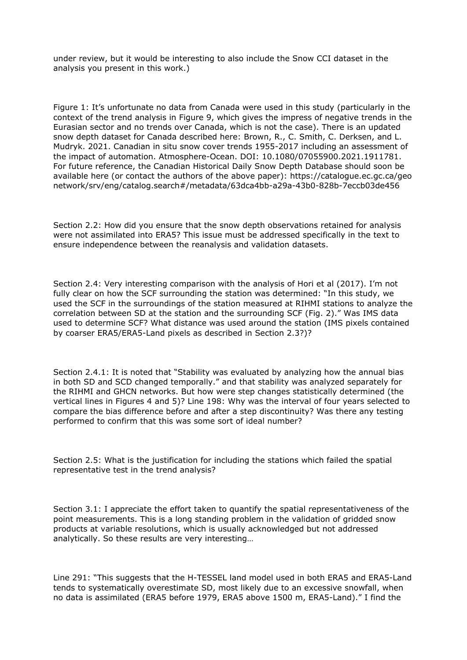under review, but it would be interesting to also include the Snow CCI dataset in the analysis you present in this work.)

Figure 1: It's unfortunate no data from Canada were used in this study (particularly in the context of the trend analysis in Figure 9, which gives the impress of negative trends in the Eurasian sector and no trends over Canada, which is not the case). There is an updated snow depth dataset for Canada described here: Brown, R., C. Smith, C. Derksen, and L. Mudryk. 2021. Canadian in situ snow cover trends 1955-2017 including an assessment of the impact of automation. Atmosphere-Ocean. DOI: 10.1080/07055900.2021.1911781. For future reference, the Canadian Historical Daily Snow Depth Database should soon be available here (or contact the authors of the above paper): https://catalogue.ec.gc.ca/geo network/srv/eng/catalog.search#/metadata/63dca4bb-a29a-43b0-828b-7eccb03de456

Section 2.2: How did you ensure that the snow depth observations retained for analysis were not assimilated into ERA5? This issue must be addressed specifically in the text to ensure independence between the reanalysis and validation datasets.

Section 2.4: Very interesting comparison with the analysis of Hori et al (2017). I'm not fully clear on how the SCF surrounding the station was determined: "In this study, we used the SCF in the surroundings of the station measured at RIHMI stations to analyze the correlation between SD at the station and the surrounding SCF (Fig. 2)." Was IMS data used to determine SCF? What distance was used around the station (IMS pixels contained by coarser ERA5/ERA5-Land pixels as described in Section 2.3?)?

Section 2.4.1: It is noted that "Stability was evaluated by analyzing how the annual bias in both SD and SCD changed temporally." and that stability was analyzed separately for the RIHMI and GHCN networks. But how were step changes statistically determined (the vertical lines in Figures 4 and 5)? Line 198: Why was the interval of four years selected to compare the bias difference before and after a step discontinuity? Was there any testing performed to confirm that this was some sort of ideal number?

Section 2.5: What is the justification for including the stations which failed the spatial representative test in the trend analysis?

Section 3.1: I appreciate the effort taken to quantify the spatial representativeness of the point measurements. This is a long standing problem in the validation of gridded snow products at variable resolutions, which is usually acknowledged but not addressed analytically. So these results are very interesting…

Line 291: "This suggests that the H-TESSEL land model used in both ERA5 and ERA5-Land tends to systematically overestimate SD, most likely due to an excessive snowfall, when no data is assimilated (ERA5 before 1979, ERA5 above 1500 m, ERA5-Land)." I find the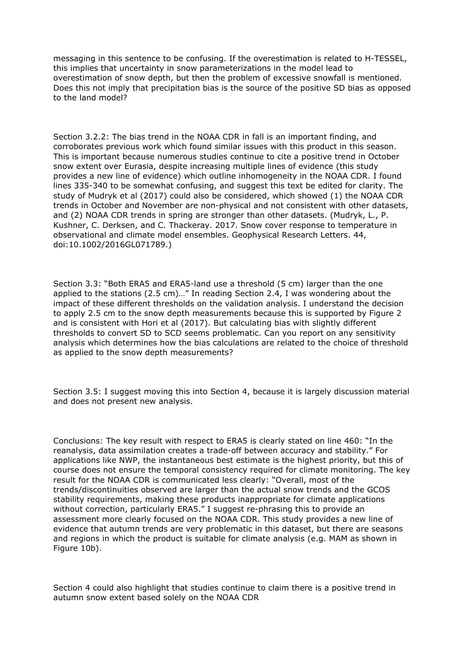messaging in this sentence to be confusing. If the overestimation is related to H-TESSEL, this implies that uncertainty in snow parameterizations in the model lead to overestimation of snow depth, but then the problem of excessive snowfall is mentioned. Does this not imply that precipitation bias is the source of the positive SD bias as opposed to the land model?

Section 3.2.2: The bias trend in the NOAA CDR in fall is an important finding, and corroborates previous work which found similar issues with this product in this season. This is important because numerous studies continue to cite a positive trend in October snow extent over Eurasia, despite increasing multiple lines of evidence (this study provides a new line of evidence) which outline inhomogeneity in the NOAA CDR. I found lines 335-340 to be somewhat confusing, and suggest this text be edited for clarity. The study of Mudryk et al (2017) could also be considered, which showed (1) the NOAA CDR trends in October and November are non-physical and not consistent with other datasets, and (2) NOAA CDR trends in spring are stronger than other datasets. (Mudryk, L., P. Kushner, C. Derksen, and C. Thackeray. 2017. Snow cover response to temperature in observational and climate model ensembles. Geophysical Research Letters. 44, doi:10.1002/2016GL071789.)

Section 3.3: "Both ERA5 and ERA5-land use a threshold (5 cm) larger than the one applied to the stations (2.5 cm)…" In reading Section 2.4, I was wondering about the impact of these different thresholds on the validation analysis. I understand the decision to apply 2.5 cm to the snow depth measurements because this is supported by Figure 2 and is consistent with Hori et al (2017). But calculating bias with slightly different thresholds to convert SD to SCD seems problematic. Can you report on any sensitivity analysis which determines how the bias calculations are related to the choice of threshold as applied to the snow depth measurements?

Section 3.5: I suggest moving this into Section 4, because it is largely discussion material and does not present new analysis.

Conclusions: The key result with respect to ERA5 is clearly stated on line 460: "In the reanalysis, data assimilation creates a trade-off between accuracy and stability." For applications like NWP, the instantaneous best estimate is the highest priority, but this of course does not ensure the temporal consistency required for climate monitoring. The key result for the NOAA CDR is communicated less clearly: "Overall, most of the trends/discontinuities observed are larger than the actual snow trends and the GCOS stability requirements, making these products inappropriate for climate applications without correction, particularly ERA5." I suggest re-phrasing this to provide an assessment more clearly focused on the NOAA CDR. This study provides a new line of evidence that autumn trends are very problematic in this dataset, but there are seasons and regions in which the product is suitable for climate analysis (e.g. MAM as shown in Figure 10b).

Section 4 could also highlight that studies continue to claim there is a positive trend in autumn snow extent based solely on the NOAA CDR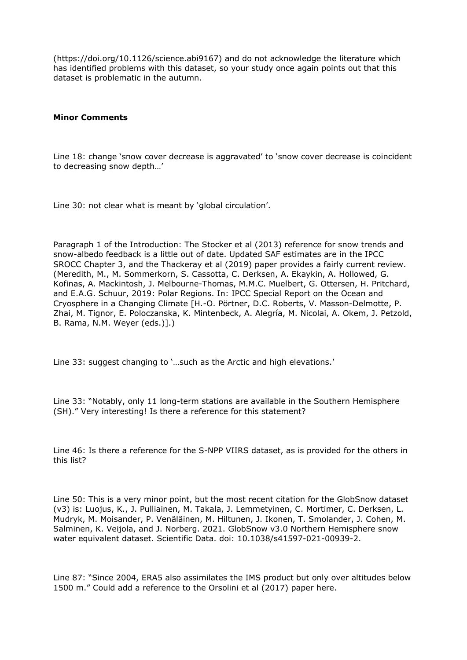(https://doi.org/10.1126/science.abi9167) and do not acknowledge the literature which has identified problems with this dataset, so your study once again points out that this dataset is problematic in the autumn.

## **Minor Comments**

Line 18: change 'snow cover decrease is aggravated' to 'snow cover decrease is coincident to decreasing snow depth…'

Line 30: not clear what is meant by 'global circulation'.

Paragraph 1 of the Introduction: The Stocker et al (2013) reference for snow trends and snow-albedo feedback is a little out of date. Updated SAF estimates are in the IPCC SROCC Chapter 3, and the Thackeray et al (2019) paper provides a fairly current review. (Meredith, M., M. Sommerkorn, S. Cassotta, C. Derksen, A. Ekaykin, A. Hollowed, G. Kofinas, A. Mackintosh, J. Melbourne-Thomas, M.M.C. Muelbert, G. Ottersen, H. Pritchard, and E.A.G. Schuur, 2019: Polar Regions. In: IPCC Special Report on the Ocean and Cryosphere in a Changing Climate [H.-O. Pörtner, D.C. Roberts, V. Masson-Delmotte, P. Zhai, M. Tignor, E. Poloczanska, K. Mintenbeck, A. Alegría, M. Nicolai, A. Okem, J. Petzold, B. Rama, N.M. Weyer (eds.)].)

Line 33: suggest changing to '…such as the Arctic and high elevations.'

Line 33: "Notably, only 11 long-term stations are available in the Southern Hemisphere (SH)." Very interesting! Is there a reference for this statement?

Line 46: Is there a reference for the S-NPP VIIRS dataset, as is provided for the others in this list?

Line 50: This is a very minor point, but the most recent citation for the GlobSnow dataset (v3) is: Luojus, K., J. Pulliainen, M. Takala, J. Lemmetyinen, C. Mortimer, C. Derksen, L. Mudryk, M. Moisander, P. Venäläinen, M. Hiltunen, J. Ikonen, T. Smolander, J. Cohen, M. Salminen, K. Veijola, and J. Norberg. 2021. GlobSnow v3.0 Northern Hemisphere snow water equivalent dataset. Scientific Data. doi: 10.1038/s41597-021-00939-2.

Line 87: "Since 2004, ERA5 also assimilates the IMS product but only over altitudes below 1500 m." Could add a reference to the Orsolini et al (2017) paper here.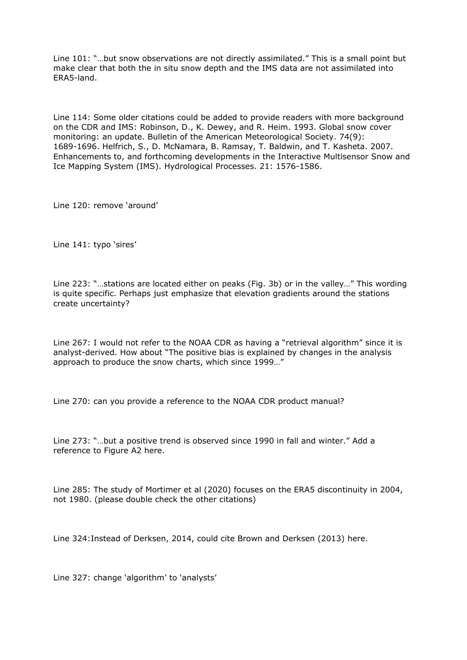Line 101: "…but snow observations are not directly assimilated." This is a small point but make clear that both the in situ snow depth and the IMS data are not assimilated into ERA5-land.

Line 114: Some older citations could be added to provide readers with more background on the CDR and IMS: Robinson, D., K. Dewey, and R. Heim. 1993. Global snow cover monitoring: an update. Bulletin of the American Meteorological Society. 74(9): 1689-1696. Helfrich, S., D. McNamara, B. Ramsay, T. Baldwin, and T. Kasheta. 2007. Enhancements to, and forthcoming developments in the Interactive Multisensor Snow and Ice Mapping System (IMS). Hydrological Processes. 21: 1576-1586.

Line 120: remove 'around'

Line 141: typo 'sires'

Line 223: "…stations are located either on peaks (Fig. 3b) or in the valley…" This wording is quite specific. Perhaps just emphasize that elevation gradients around the stations create uncertainty?

Line 267: I would not refer to the NOAA CDR as having a "retrieval algorithm" since it is analyst-derived. How about "The positive bias is explained by changes in the analysis approach to produce the snow charts, which since 1999…"

Line 270: can you provide a reference to the NOAA CDR product manual?

Line 273: "…but a positive trend is observed since 1990 in fall and winter." Add a reference to Figure A2 here.

Line 285: The study of Mortimer et al (2020) focuses on the ERA5 discontinuity in 2004, not 1980. (please double check the other citations)

Line 324:Instead of Derksen, 2014, could cite Brown and Derksen (2013) here.

Line 327: change 'algorithm' to 'analysts'